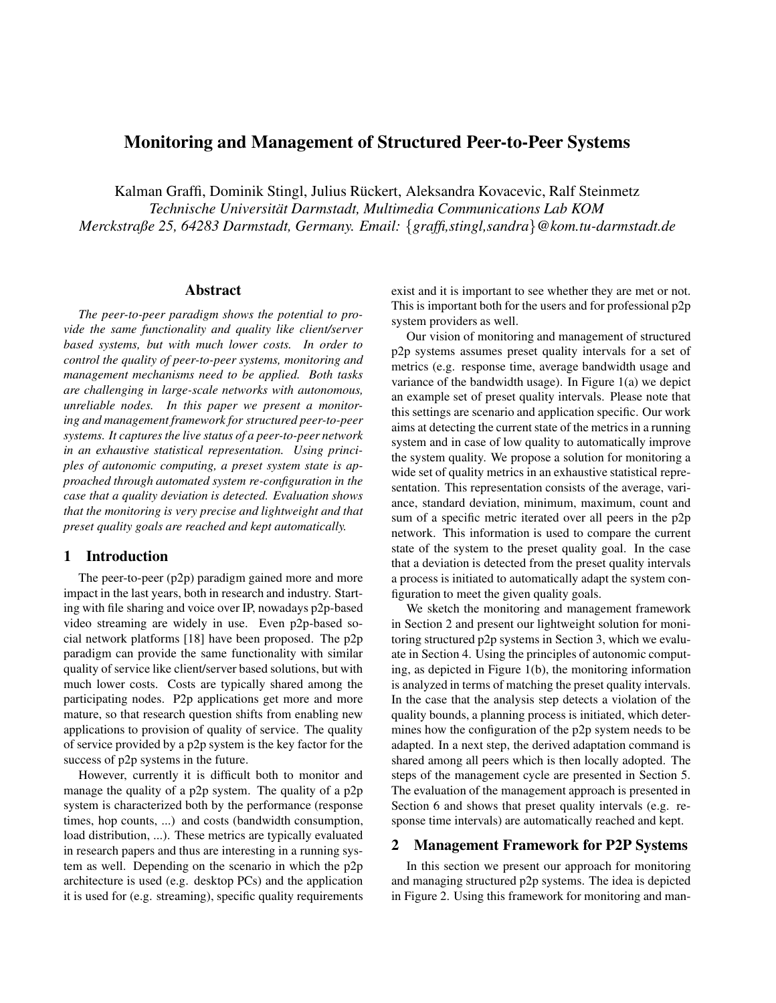# **Monitoring and Management of Structured Peer-to-Peer Systems**

Kalman Graffi, Dominik Stingl, Julius Rückert, Aleksandra Kovacevic, Ralf Steinmetz

*Technische Universitat Darmstadt, Multimedia Communications Lab KOM ¨ Merckstraße 25, 64283 Darmstadt, Germany. Email:* {*graffi,stingl,sandra*}*@kom.tu-darmstadt.de*

## **Abstract**

*The peer-to-peer paradigm shows the potential to provide the same functionality and quality like client/server based systems, but with much lower costs. In order to control the quality of peer-to-peer systems, monitoring and management mechanisms need to be applied. Both tasks are challenging in large-scale networks with autonomous, unreliable nodes. In this paper we present a monitoring and management framework for structured peer-to-peer systems. It captures the live status of a peer-to-peer network in an exhaustive statistical representation. Using principles of autonomic computing, a preset system state is approached through automated system re-configuration in the case that a quality deviation is detected. Evaluation shows that the monitoring is very precise and lightweight and that preset quality goals are reached and kept automatically.*

# **1 Introduction**

The peer-to-peer (p2p) paradigm gained more and more impact in the last years, both in research and industry. Starting with file sharing and voice over IP, nowadays p2p-based video streaming are widely in use. Even p2p-based social network platforms [18] have been proposed. The p2p paradigm can provide the same functionality with similar quality of service like client/server based solutions, but with much lower costs. Costs are typically shared among the participating nodes. P2p applications get more and more mature, so that research question shifts from enabling new applications to provision of quality of service. The quality of service provided by a p2p system is the key factor for the success of p2p systems in the future.

However, currently it is difficult both to monitor and manage the quality of a p2p system. The quality of a p2p system is characterized both by the performance (response times, hop counts, ...) and costs (bandwidth consumption, load distribution, ...). These metrics are typically evaluated in research papers and thus are interesting in a running system as well. Depending on the scenario in which the p2p architecture is used (e.g. desktop PCs) and the application it is used for (e.g. streaming), specific quality requirements exist and it is important to see whether they are met or not. This is important both for the users and for professional p2p system providers as well.

Our vision of monitoring and management of structured p2p systems assumes preset quality intervals for a set of metrics (e.g. response time, average bandwidth usage and variance of the bandwidth usage). In Figure 1(a) we depict an example set of preset quality intervals. Please note that this settings are scenario and application specific. Our work aims at detecting the current state of the metrics in a running system and in case of low quality to automatically improve the system quality. We propose a solution for monitoring a wide set of quality metrics in an exhaustive statistical representation. This representation consists of the average, variance, standard deviation, minimum, maximum, count and sum of a specific metric iterated over all peers in the p2p network. This information is used to compare the current state of the system to the preset quality goal. In the case that a deviation is detected from the preset quality intervals a process is initiated to automatically adapt the system configuration to meet the given quality goals.

We sketch the monitoring and management framework in Section 2 and present our lightweight solution for monitoring structured p2p systems in Section 3, which we evaluate in Section 4. Using the principles of autonomic computing, as depicted in Figure 1(b), the monitoring information is analyzed in terms of matching the preset quality intervals. In the case that the analysis step detects a violation of the quality bounds, a planning process is initiated, which determines how the configuration of the p2p system needs to be adapted. In a next step, the derived adaptation command is shared among all peers which is then locally adopted. The steps of the management cycle are presented in Section 5. The evaluation of the management approach is presented in Section 6 and shows that preset quality intervals (e.g. response time intervals) are automatically reached and kept.

# **2 Management Framework for P2P Systems**

In this section we present our approach for monitoring and managing structured p2p systems. The idea is depicted in Figure 2. Using this framework for monitoring and man-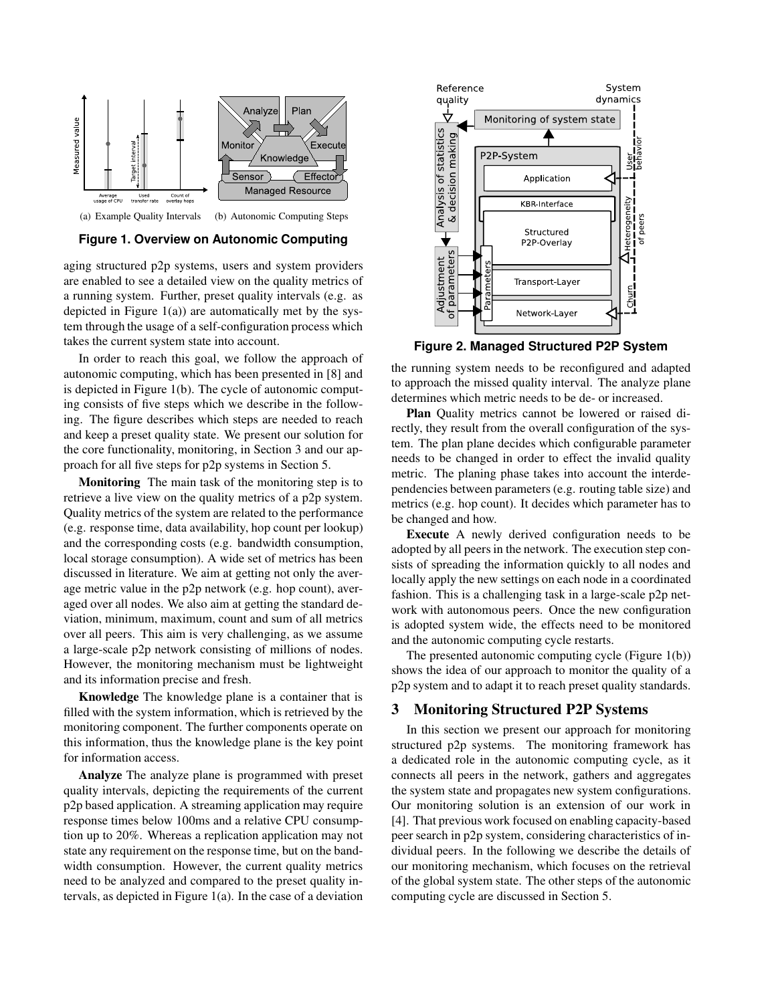

**Figure 1. Overview on Autonomic Computing**

aging structured p2p systems, users and system providers are enabled to see a detailed view on the quality metrics of a running system. Further, preset quality intervals (e.g. as depicted in Figure  $1(a)$  are automatically met by the system through the usage of a self-configuration process which takes the current system state into account.

In order to reach this goal, we follow the approach of autonomic computing, which has been presented in [8] and is depicted in Figure 1(b). The cycle of autonomic computing consists of five steps which we describe in the following. The figure describes which steps are needed to reach and keep a preset quality state. We present our solution for the core functionality, monitoring, in Section 3 and our approach for all five steps for p2p systems in Section 5.

**Monitoring** The main task of the monitoring step is to retrieve a live view on the quality metrics of a p2p system. Quality metrics of the system are related to the performance (e.g. response time, data availability, hop count per lookup) and the corresponding costs (e.g. bandwidth consumption, local storage consumption). A wide set of metrics has been discussed in literature. We aim at getting not only the average metric value in the p2p network (e.g. hop count), averaged over all nodes. We also aim at getting the standard deviation, minimum, maximum, count and sum of all metrics over all peers. This aim is very challenging, as we assume a large-scale p2p network consisting of millions of nodes. However, the monitoring mechanism must be lightweight and its information precise and fresh.

**Knowledge** The knowledge plane is a container that is filled with the system information, which is retrieved by the monitoring component. The further components operate on this information, thus the knowledge plane is the key point for information access.

**Analyze** The analyze plane is programmed with preset quality intervals, depicting the requirements of the current p2p based application. A streaming application may require response times below 100ms and a relative CPU consumption up to 20%. Whereas a replication application may not state any requirement on the response time, but on the bandwidth consumption. However, the current quality metrics need to be analyzed and compared to the preset quality intervals, as depicted in Figure 1(a). In the case of a deviation



**Figure 2. Managed Structured P2P System**

the running system needs to be reconfigured and adapted to approach the missed quality interval. The analyze plane determines which metric needs to be de- or increased.

**Plan** Quality metrics cannot be lowered or raised directly, they result from the overall configuration of the system. The plan plane decides which configurable parameter needs to be changed in order to effect the invalid quality metric. The planing phase takes into account the interdependencies between parameters (e.g. routing table size) and metrics (e.g. hop count). It decides which parameter has to be changed and how.

**Execute** A newly derived configuration needs to be adopted by all peers in the network. The execution step consists of spreading the information quickly to all nodes and locally apply the new settings on each node in a coordinated fashion. This is a challenging task in a large-scale p2p network with autonomous peers. Once the new configuration is adopted system wide, the effects need to be monitored and the autonomic computing cycle restarts.

The presented autonomic computing cycle (Figure 1(b)) shows the idea of our approach to monitor the quality of a p2p system and to adapt it to reach preset quality standards.

# **3 Monitoring Structured P2P Systems**

In this section we present our approach for monitoring structured p2p systems. The monitoring framework has a dedicated role in the autonomic computing cycle, as it connects all peers in the network, gathers and aggregates the system state and propagates new system configurations. Our monitoring solution is an extension of our work in [4]. That previous work focused on enabling capacity-based peer search in p2p system, considering characteristics of individual peers. In the following we describe the details of our monitoring mechanism, which focuses on the retrieval of the global system state. The other steps of the autonomic computing cycle are discussed in Section 5.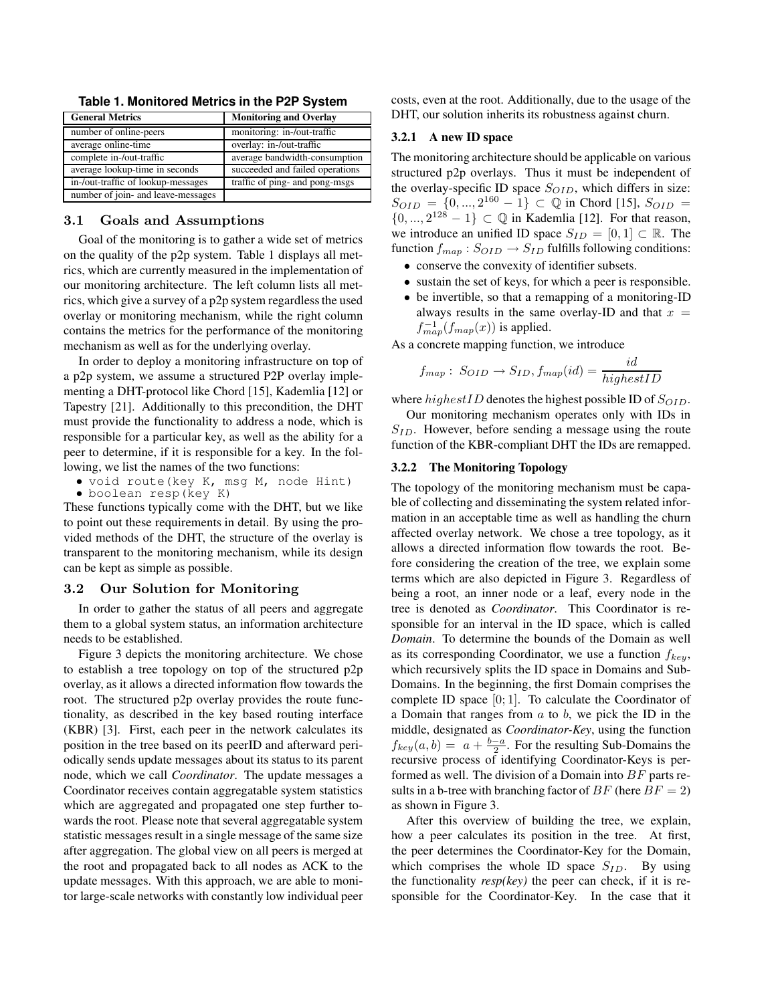| <b>General Metrics</b>             | <b>Monitoring and Overlay</b>   |  |
|------------------------------------|---------------------------------|--|
| number of online-peers             | monitoring: in-/out-traffic     |  |
| average online-time                | overlay: in-/out-traffic        |  |
| complete in-/out-traffic           | average bandwidth-consumption   |  |
| average lookup-time in seconds     | succeeded and failed operations |  |
| in-/out-traffic of lookup-messages | traffic of ping- and pong-msgs  |  |
| number of join- and leave-messages |                                 |  |

**Table 1. Monitored Metrics in the P2P System**

## 3.1 Goals and Assumptions

Goal of the monitoring is to gather a wide set of metrics on the quality of the p2p system. Table 1 displays all metrics, which are currently measured in the implementation of our monitoring architecture. The left column lists all metrics, which give a survey of a p2p system regardless the used overlay or monitoring mechanism, while the right column contains the metrics for the performance of the monitoring mechanism as well as for the underlying overlay.

In order to deploy a monitoring infrastructure on top of a p2p system, we assume a structured P2P overlay implementing a DHT-protocol like Chord [15], Kademlia [12] or Tapestry [21]. Additionally to this precondition, the DHT must provide the functionality to address a node, which is responsible for a particular key, as well as the ability for a peer to determine, if it is responsible for a key. In the following, we list the names of the two functions:

• void route(key K, msg M, node Hint)

• boolean resp(key K)

These functions typically come with the DHT, but we like to point out these requirements in detail. By using the provided methods of the DHT, the structure of the overlay is transparent to the monitoring mechanism, while its design can be kept as simple as possible.

#### 3.2 Our Solution for Monitoring

In order to gather the status of all peers and aggregate them to a global system status, an information architecture needs to be established.

Figure 3 depicts the monitoring architecture. We chose to establish a tree topology on top of the structured p2p overlay, as it allows a directed information flow towards the root. The structured p2p overlay provides the route functionality, as described in the key based routing interface (KBR) [3]. First, each peer in the network calculates its position in the tree based on its peerID and afterward periodically sends update messages about its status to its parent node, which we call *Coordinator*. The update messages a Coordinator receives contain aggregatable system statistics which are aggregated and propagated one step further towards the root. Please note that several aggregatable system statistic messages result in a single message of the same size after aggregation. The global view on all peers is merged at the root and propagated back to all nodes as ACK to the update messages. With this approach, we are able to monitor large-scale networks with constantly low individual peer costs, even at the root. Additionally, due to the usage of the DHT, our solution inherits its robustness against churn.

### **3.2.1 A new ID space**

The monitoring architecture should be applicable on various structured p2p overlays. Thus it must be independent of the overlay-specific ID space  $S_{OID}$ , which differs in size:  $S_{OID} = \{0, ..., 2^{160} - 1\} \subset \mathbb{Q}$  in Chord [15],  $S_{OID} =$  $\{0, ..., 2^{128} - 1\} \subset \mathbb{Q}$  in Kademlia [12]. For that reason, we introduce an unified ID space  $S_{ID} = [0, 1] \subset \mathbb{R}$ . The function  $f_{map}$ :  $S_{OLD} \rightarrow S_{ID}$  fulfills following conditions:

- conserve the convexity of identifier subsets.
- sustain the set of keys, for which a peer is responsible.
- be invertible, so that a remapping of a monitoring-ID always results in the same overlay-ID and that  $x =$  $f_{map}^{-1}(f_{map}(x))$  is applied.

As a concrete mapping function, we introduce

$$
f_{map}: S_{OID} \to S_{ID}, f_{map}(id) = \frac{id}{highestID}
$$

where  $highestID$  denotes the highest possible ID of  $S_{OLD}$ .

Our monitoring mechanism operates only with IDs in  $S_{ID}$ . However, before sending a message using the route function of the KBR-compliant DHT the IDs are remapped.

# **3.2.2 The Monitoring Topology**

The topology of the monitoring mechanism must be capable of collecting and disseminating the system related information in an acceptable time as well as handling the churn affected overlay network. We chose a tree topology, as it allows a directed information flow towards the root. Before considering the creation of the tree, we explain some terms which are also depicted in Figure 3. Regardless of being a root, an inner node or a leaf, every node in the tree is denoted as *Coordinator*. This Coordinator is responsible for an interval in the ID space, which is called *Domain*. To determine the bounds of the Domain as well as its corresponding Coordinator, we use a function  $f_{key}$ , which recursively splits the ID space in Domains and Sub-Domains. In the beginning, the first Domain comprises the complete ID space  $[0; 1]$ . To calculate the Coordinator of a Domain that ranges from  $a$  to  $b$ , we pick the ID in the middle, designated as *Coordinator-Key*, using the function  $f_{key}(a, b) = a + \frac{b-a}{2}$ . For the resulting Sub-Domains the recursive process of identifying Coordinator-Keys is performed as well. The division of a Domain into BF parts results in a b-tree with branching factor of  $BF$  (here  $BF = 2$ ) as shown in Figure 3.

After this overview of building the tree, we explain, how a peer calculates its position in the tree. At first, the peer determines the Coordinator-Key for the Domain, which comprises the whole ID space  $S_{ID}$ . By using the functionality *resp(key)* the peer can check, if it is responsible for the Coordinator-Key. In the case that it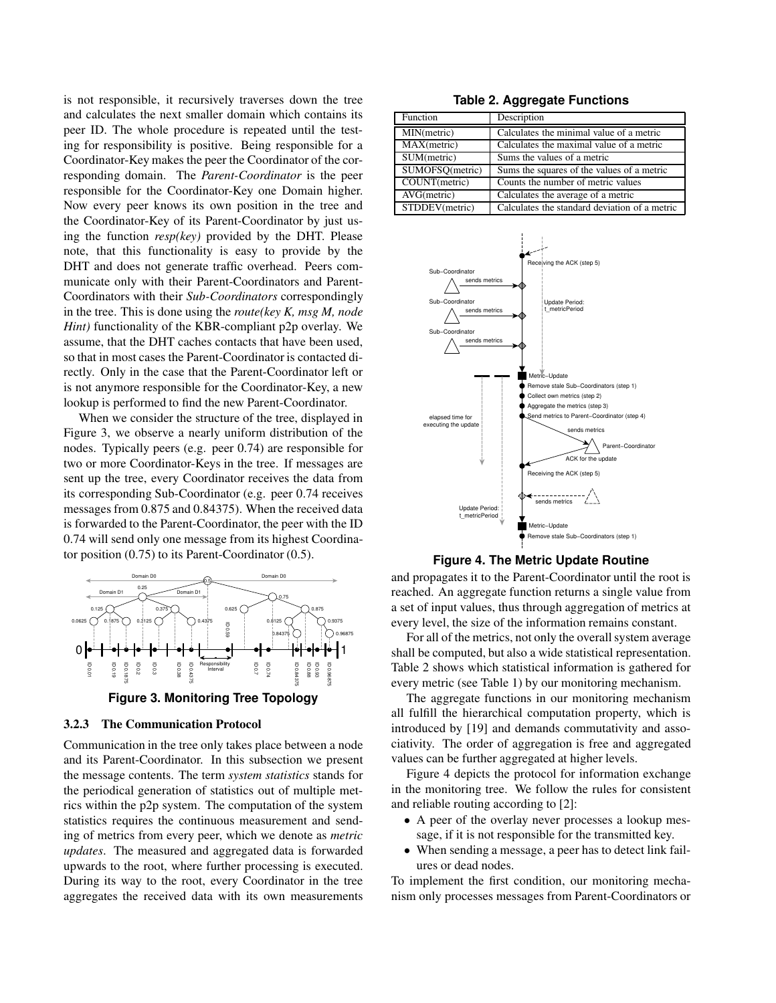is not responsible, it recursively traverses down the tree and calculates the next smaller domain which contains its peer ID. The whole procedure is repeated until the testing for responsibility is positive. Being responsible for a Coordinator-Key makes the peer the Coordinator of the corresponding domain. The *Parent-Coordinator* is the peer responsible for the Coordinator-Key one Domain higher. Now every peer knows its own position in the tree and the Coordinator-Key of its Parent-Coordinator by just using the function *resp(key)* provided by the DHT. Please note, that this functionality is easy to provide by the DHT and does not generate traffic overhead. Peers communicate only with their Parent-Coordinators and Parent-Coordinators with their *Sub-Coordinators* correspondingly in the tree. This is done using the *route(key K, msg M, node Hint)* functionality of the KBR-compliant p2p overlay. We assume, that the DHT caches contacts that have been used, so that in most cases the Parent-Coordinator is contacted directly. Only in the case that the Parent-Coordinator left or is not anymore responsible for the Coordinator-Key, a new lookup is performed to find the new Parent-Coordinator.

When we consider the structure of the tree, displayed in Figure 3, we observe a nearly uniform distribution of the nodes. Typically peers (e.g. peer 0.74) are responsible for two or more Coordinator-Keys in the tree. If messages are sent up the tree, every Coordinator receives the data from its corresponding Sub-Coordinator (e.g. peer 0.74 receives messages from 0.875 and 0.84375). When the received data is forwarded to the Parent-Coordinator, the peer with the ID 0.74 will send only one message from its highest Coordinator position (0.75) to its Parent-Coordinator (0.5).



**Figure 3. Monitoring Tree Topology**

#### **3.2.3 The Communication Protocol**

Communication in the tree only takes place between a node and its Parent-Coordinator. In this subsection we present the message contents. The term *system statistics* stands for the periodical generation of statistics out of multiple metrics within the p2p system. The computation of the system statistics requires the continuous measurement and sending of metrics from every peer, which we denote as *metric updates*. The measured and aggregated data is forwarded upwards to the root, where further processing is executed. During its way to the root, every Coordinator in the tree aggregates the received data with its own measurements

**Table 2. Aggregate Functions**

| Function        | Description                                   |
|-----------------|-----------------------------------------------|
| MIN(metric)     | Calculates the minimal value of a metric      |
| MAX(metric)     | Calculates the maximal value of a metric      |
| SUM(metric)     | Sums the values of a metric                   |
| SUMOFSO(metric) | Sums the squares of the values of a metric    |
| COUNT(metric)   | Counts the number of metric values            |
| AVG(metric)     | Calculates the average of a metric            |
| STDDEV(metric)  | Calculates the standard deviation of a metric |



# **Figure 4. The Metric Update Routine**

and propagates it to the Parent-Coordinator until the root is reached. An aggregate function returns a single value from a set of input values, thus through aggregation of metrics at every level, the size of the information remains constant.

For all of the metrics, not only the overall system average shall be computed, but also a wide statistical representation. Table 2 shows which statistical information is gathered for every metric (see Table 1) by our monitoring mechanism.

The aggregate functions in our monitoring mechanism all fulfill the hierarchical computation property, which is introduced by [19] and demands commutativity and associativity. The order of aggregation is free and aggregated values can be further aggregated at higher levels.

Figure 4 depicts the protocol for information exchange in the monitoring tree. We follow the rules for consistent and reliable routing according to [2]:

- A peer of the overlay never processes a lookup message, if it is not responsible for the transmitted key.
- When sending a message, a peer has to detect link failures or dead nodes.

To implement the first condition, our monitoring mechanism only processes messages from Parent-Coordinators or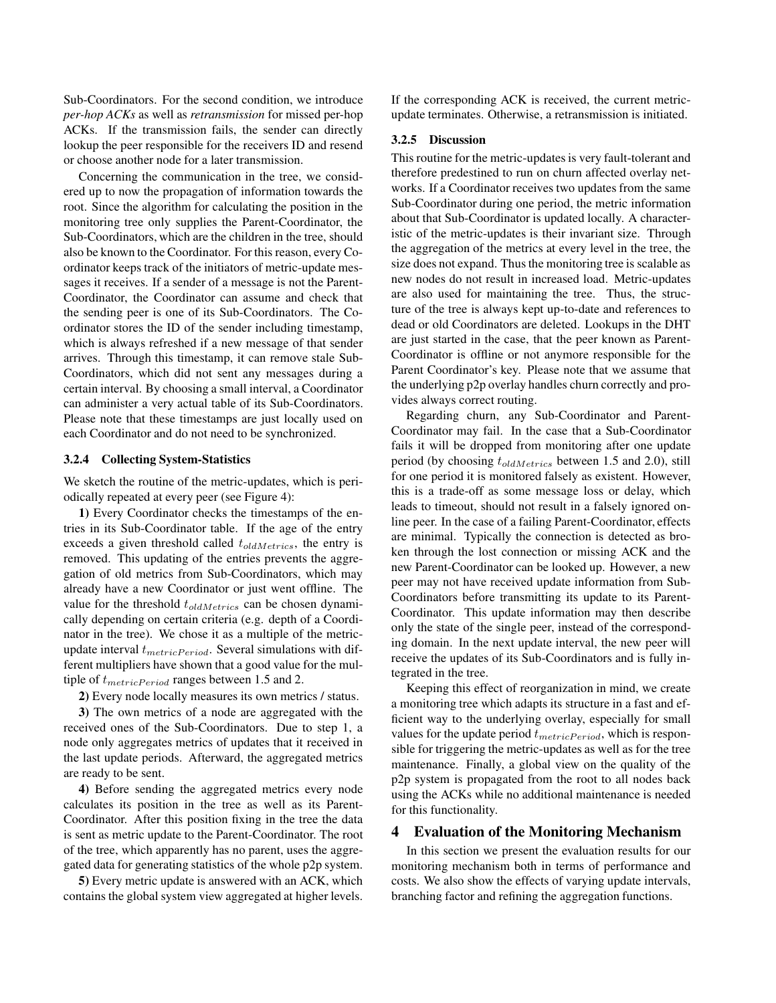Sub-Coordinators. For the second condition, we introduce *per-hop ACKs* as well as *retransmission* for missed per-hop ACKs. If the transmission fails, the sender can directly lookup the peer responsible for the receivers ID and resend or choose another node for a later transmission.

Concerning the communication in the tree, we considered up to now the propagation of information towards the root. Since the algorithm for calculating the position in the monitoring tree only supplies the Parent-Coordinator, the Sub-Coordinators, which are the children in the tree, should also be known to the Coordinator. For this reason, every Coordinator keeps track of the initiators of metric-update messages it receives. If a sender of a message is not the Parent-Coordinator, the Coordinator can assume and check that the sending peer is one of its Sub-Coordinators. The Coordinator stores the ID of the sender including timestamp, which is always refreshed if a new message of that sender arrives. Through this timestamp, it can remove stale Sub-Coordinators, which did not sent any messages during a certain interval. By choosing a small interval, a Coordinator can administer a very actual table of its Sub-Coordinators. Please note that these timestamps are just locally used on each Coordinator and do not need to be synchronized.

## **3.2.4 Collecting System-Statistics**

We sketch the routine of the metric-updates, which is periodically repeated at every peer (see Figure 4):

**1)** Every Coordinator checks the timestamps of the entries in its Sub-Coordinator table. If the age of the entry exceeds a given threshold called  $t_{oldMetrics}$ , the entry is removed. This updating of the entries prevents the aggregation of old metrics from Sub-Coordinators, which may already have a new Coordinator or just went offline. The value for the threshold  $t_{oldMetrics}$  can be chosen dynamically depending on certain criteria (e.g. depth of a Coordinator in the tree). We chose it as a multiple of the metricupdate interval  $t_{metricPeriod}$ . Several simulations with different multipliers have shown that a good value for the multiple of  $t_{metricPeriod}$  ranges between 1.5 and 2.

**2)** Every node locally measures its own metrics / status.

**3)** The own metrics of a node are aggregated with the received ones of the Sub-Coordinators. Due to step 1, a node only aggregates metrics of updates that it received in the last update periods. Afterward, the aggregated metrics are ready to be sent.

**4)** Before sending the aggregated metrics every node calculates its position in the tree as well as its Parent-Coordinator. After this position fixing in the tree the data is sent as metric update to the Parent-Coordinator. The root of the tree, which apparently has no parent, uses the aggregated data for generating statistics of the whole p2p system.

**5)** Every metric update is answered with an ACK, which contains the global system view aggregated at higher levels.

If the corresponding ACK is received, the current metricupdate terminates. Otherwise, a retransmission is initiated.

## **3.2.5 Discussion**

This routine for the metric-updates is very fault-tolerant and therefore predestined to run on churn affected overlay networks. If a Coordinator receives two updates from the same Sub-Coordinator during one period, the metric information about that Sub-Coordinator is updated locally. A characteristic of the metric-updates is their invariant size. Through the aggregation of the metrics at every level in the tree, the size does not expand. Thus the monitoring tree is scalable as new nodes do not result in increased load. Metric-updates are also used for maintaining the tree. Thus, the structure of the tree is always kept up-to-date and references to dead or old Coordinators are deleted. Lookups in the DHT are just started in the case, that the peer known as Parent-Coordinator is offline or not anymore responsible for the Parent Coordinator's key. Please note that we assume that the underlying p2p overlay handles churn correctly and provides always correct routing.

Regarding churn, any Sub-Coordinator and Parent-Coordinator may fail. In the case that a Sub-Coordinator fails it will be dropped from monitoring after one update period (by choosing  $t_{oldMetrics}$  between 1.5 and 2.0), still for one period it is monitored falsely as existent. However, this is a trade-off as some message loss or delay, which leads to timeout, should not result in a falsely ignored online peer. In the case of a failing Parent-Coordinator, effects are minimal. Typically the connection is detected as broken through the lost connection or missing ACK and the new Parent-Coordinator can be looked up. However, a new peer may not have received update information from Sub-Coordinators before transmitting its update to its Parent-Coordinator. This update information may then describe only the state of the single peer, instead of the corresponding domain. In the next update interval, the new peer will receive the updates of its Sub-Coordinators and is fully integrated in the tree.

Keeping this effect of reorganization in mind, we create a monitoring tree which adapts its structure in a fast and efficient way to the underlying overlay, especially for small values for the update period  $t_{metricPeriod}$ , which is responsible for triggering the metric-updates as well as for the tree maintenance. Finally, a global view on the quality of the p2p system is propagated from the root to all nodes back using the ACKs while no additional maintenance is needed for this functionality.

#### **4 Evaluation of the Monitoring Mechanism**

In this section we present the evaluation results for our monitoring mechanism both in terms of performance and costs. We also show the effects of varying update intervals, branching factor and refining the aggregation functions.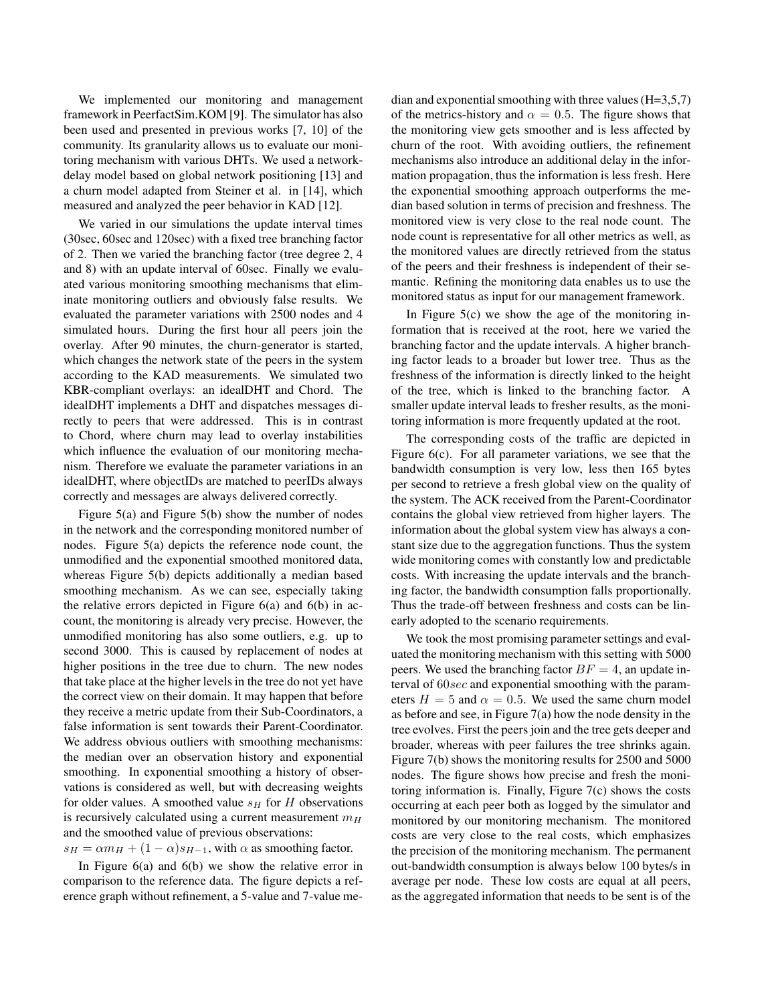We implemented our monitoring and management framework in PeerfactSim.KOM [9]. The simulator has also been used and presented in previous works [7, 10] of the community. Its granularity allows us to evaluate our monitoring mechanism with various DHTs. We used a networkdelay model based on global network positioning [13] and a churn model adapted from Steiner et al. in [14], which measured and analyzed the peer behavior in KAD [12].

We varied in our simulations the update interval times (30sec, 60sec and 120sec) with a fixed tree branching factor of 2. Then we varied the branching factor (tree degree 2, 4 and 8) with an update interval of 60sec. Finally we evaluated various monitoring smoothing mechanisms that eliminate monitoring outliers and obviously false results. We evaluated the parameter variations with 2500 nodes and 4 simulated hours. During the first hour all peers join the overlay. After 90 minutes, the churn-generator is started, which changes the network state of the peers in the system according to the KAD measurements. We simulated two KBR-compliant overlays: an idealDHT and Chord. The idealDHT implements a DHT and dispatches messages directly to peers that were addressed. This is in contrast to Chord, where churn may lead to overlay instabilities which influence the evaluation of our monitoring mechanism. Therefore we evaluate the parameter variations in an idealDHT, where objectIDs are matched to peerIDs always correctly and messages are always delivered correctly.

Figure 5(a) and Figure 5(b) show the number of nodes in the network and the corresponding monitored number of nodes. Figure 5(a) depicts the reference node count, the unmodified and the exponential smoothed monitored data, whereas Figure 5(b) depicts additionally a median based smoothing mechanism. As we can see, especially taking the relative errors depicted in Figure 6(a) and 6(b) in account, the monitoring is already very precise. However, the unmodified monitoring has also some outliers, e.g. up to second 3000. This is caused by replacement of nodes at higher positions in the tree due to churn. The new nodes that take place at the higher levels in the tree do not yet have the correct view on their domain. It may happen that before they receive a metric update from their Sub-Coordinators, a false information is sent towards their Parent-Coordinator. We address obvious outliers with smoothing mechanisms: the median over an observation history and exponential smoothing. In exponential smoothing a history of observations is considered as well, but with decreasing weights for older values. A smoothed value  $s_H$  for H observations is recursively calculated using a current measurement  $m_H$ and the smoothed value of previous observations:

 $s_H = \alpha m_H + (1 - \alpha)s_{H-1}$ , with  $\alpha$  as smoothing factor.

In Figure  $6(a)$  and  $6(b)$  we show the relative error in comparison to the reference data. The figure depicts a reference graph without refinement, a 5-value and 7-value median and exponential smoothing with three values  $(H=3,5,7)$ of the metrics-history and  $\alpha = 0.5$ . The figure shows that the monitoring view gets smoother and is less affected by churn of the root. With avoiding outliers, the refinement mechanisms also introduce an additional delay in the information propagation, thus the information is less fresh. Here the exponential smoothing approach outperforms the median based solution in terms of precision and freshness. The monitored view is very close to the real node count. The node count is representative for all other metrics as well, as the monitored values are directly retrieved from the status of the peers and their freshness is independent of their semantic. Refining the monitoring data enables us to use the monitored status as input for our management framework.

In Figure  $5(c)$  we show the age of the monitoring information that is received at the root, here we varied the branching factor and the update intervals. A higher branching factor leads to a broader but lower tree. Thus as the freshness of the information is directly linked to the height of the tree, which is linked to the branching factor. A smaller update interval leads to fresher results, as the monitoring information is more frequently updated at the root.

The corresponding costs of the traffic are depicted in Figure 6(c). For all parameter variations, we see that the bandwidth consumption is very low, less then 165 bytes per second to retrieve a fresh global view on the quality of the system. The ACK received from the Parent-Coordinator contains the global view retrieved from higher layers. The information about the global system view has always a constant size due to the aggregation functions. Thus the system wide monitoring comes with constantly low and predictable costs. With increasing the update intervals and the branching factor, the bandwidth consumption falls proportionally. Thus the trade-off between freshness and costs can be linearly adopted to the scenario requirements.

We took the most promising parameter settings and evaluated the monitoring mechanism with this setting with 5000 peers. We used the branching factor  $BF = 4$ , an update interval of 60sec and exponential smoothing with the parameters  $H = 5$  and  $\alpha = 0.5$ . We used the same churn model as before and see, in Figure 7(a) how the node density in the tree evolves. First the peers join and the tree gets deeper and broader, whereas with peer failures the tree shrinks again. Figure 7(b) shows the monitoring results for 2500 and 5000 nodes. The figure shows how precise and fresh the monitoring information is. Finally, Figure 7(c) shows the costs occurring at each peer both as logged by the simulator and monitored by our monitoring mechanism. The monitored costs are very close to the real costs, which emphasizes the precision of the monitoring mechanism. The permanent out-bandwidth consumption is always below 100 bytes/s in average per node. These low costs are equal at all peers, as the aggregated information that needs to be sent is of the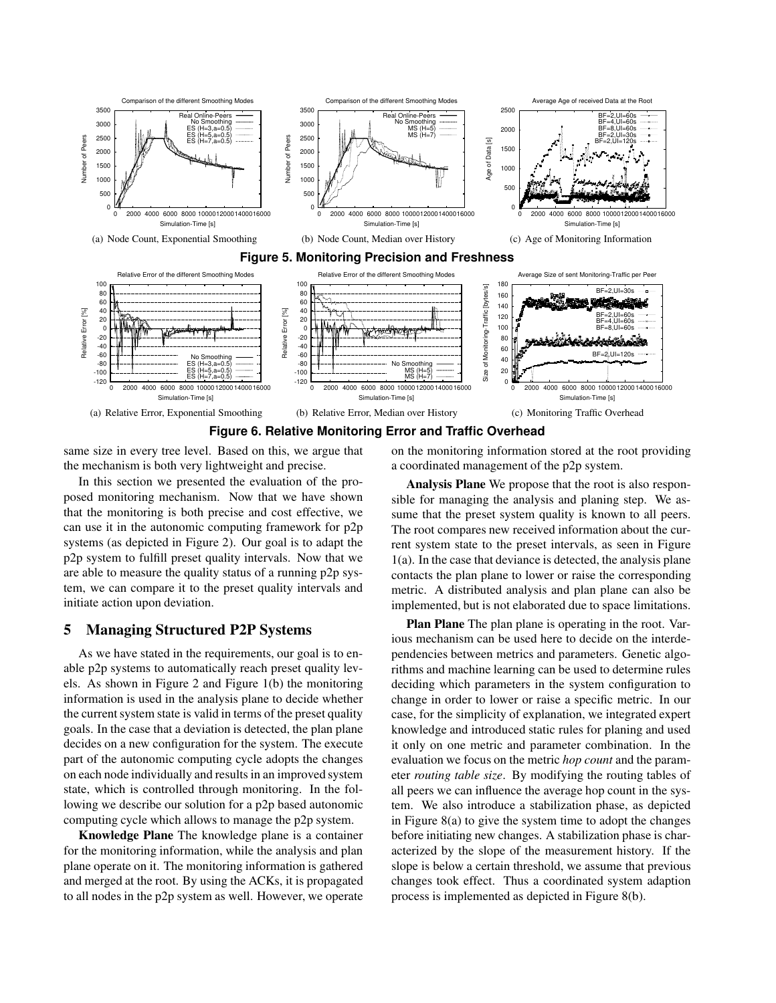

same size in every tree level. Based on this, we argue that the mechanism is both very lightweight and precise.

In this section we presented the evaluation of the proposed monitoring mechanism. Now that we have shown that the monitoring is both precise and cost effective, we can use it in the autonomic computing framework for p2p systems (as depicted in Figure 2). Our goal is to adapt the p2p system to fulfill preset quality intervals. Now that we are able to measure the quality status of a running p2p system, we can compare it to the preset quality intervals and initiate action upon deviation.

# **5 Managing Structured P2P Systems**

As we have stated in the requirements, our goal is to enable p2p systems to automatically reach preset quality levels. As shown in Figure 2 and Figure 1(b) the monitoring information is used in the analysis plane to decide whether the current system state is valid in terms of the preset quality goals. In the case that a deviation is detected, the plan plane decides on a new configuration for the system. The execute part of the autonomic computing cycle adopts the changes on each node individually and results in an improved system state, which is controlled through monitoring. In the following we describe our solution for a p2p based autonomic computing cycle which allows to manage the p2p system.

**Knowledge Plane** The knowledge plane is a container for the monitoring information, while the analysis and plan plane operate on it. The monitoring information is gathered and merged at the root. By using the ACKs, it is propagated to all nodes in the p2p system as well. However, we operate

on the monitoring information stored at the root providing a coordinated management of the p2p system.

**Analysis Plane** We propose that the root is also responsible for managing the analysis and planing step. We assume that the preset system quality is known to all peers. The root compares new received information about the current system state to the preset intervals, as seen in Figure 1(a). In the case that deviance is detected, the analysis plane contacts the plan plane to lower or raise the corresponding metric. A distributed analysis and plan plane can also be implemented, but is not elaborated due to space limitations.

**Plan Plane** The plan plane is operating in the root. Various mechanism can be used here to decide on the interdependencies between metrics and parameters. Genetic algorithms and machine learning can be used to determine rules deciding which parameters in the system configuration to change in order to lower or raise a specific metric. In our case, for the simplicity of explanation, we integrated expert knowledge and introduced static rules for planing and used it only on one metric and parameter combination. In the evaluation we focus on the metric *hop count* and the parameter *routing table size*. By modifying the routing tables of all peers we can influence the average hop count in the system. We also introduce a stabilization phase, as depicted in Figure  $8(a)$  to give the system time to adopt the changes before initiating new changes. A stabilization phase is characterized by the slope of the measurement history. If the slope is below a certain threshold, we assume that previous changes took effect. Thus a coordinated system adaption process is implemented as depicted in Figure 8(b).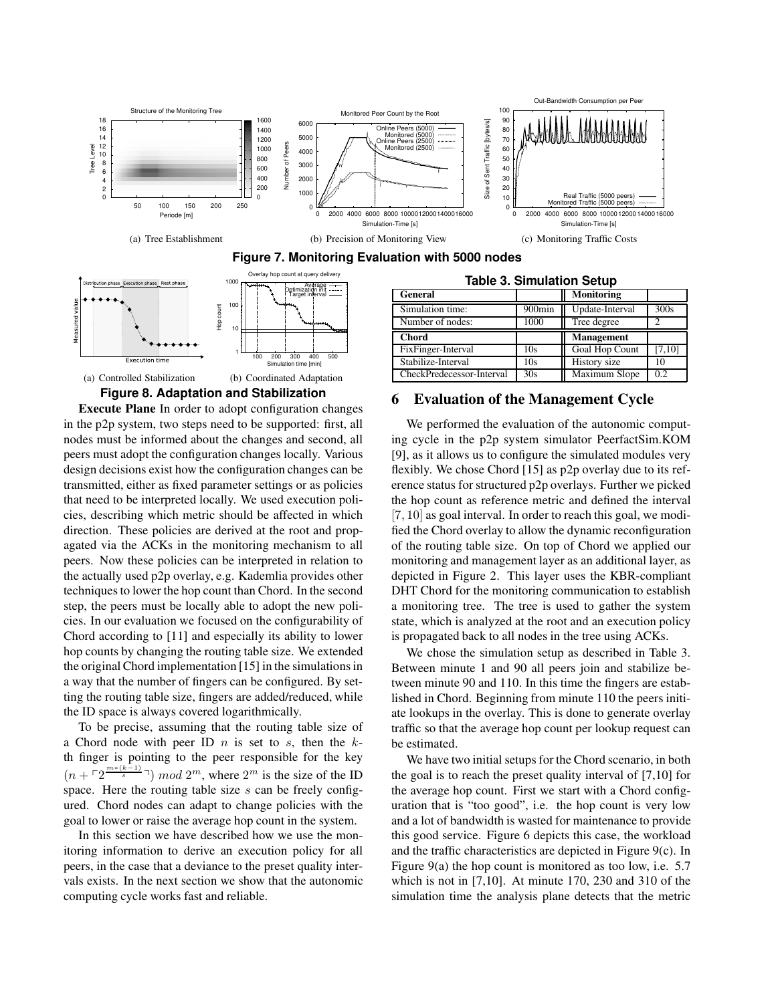

## **Figure 7. Monitoring Evaluation with 5000 nodes**



**Figure 8. Adaptation and Stabilization**

**Execute Plane** In order to adopt configuration changes in the p2p system, two steps need to be supported: first, all nodes must be informed about the changes and second, all peers must adopt the configuration changes locally. Various design decisions exist how the configuration changes can be transmitted, either as fixed parameter settings or as policies that need to be interpreted locally. We used execution policies, describing which metric should be affected in which direction. These policies are derived at the root and propagated via the ACKs in the monitoring mechanism to all peers. Now these policies can be interpreted in relation to the actually used p2p overlay, e.g. Kademlia provides other techniques to lower the hop count than Chord. In the second step, the peers must be locally able to adopt the new policies. In our evaluation we focused on the configurability of Chord according to [11] and especially its ability to lower hop counts by changing the routing table size. We extended the original Chord implementation [15] in the simulations in a way that the number of fingers can be configured. By setting the routing table size, fingers are added/reduced, while the ID space is always covered logarithmically.

To be precise, assuming that the routing table size of a Chord node with peer ID  $n$  is set to  $s$ , then the  $k$ th finger is pointing to the peer responsible for the key  $(n + \sqrt[p]{2^{m*(k-1)}\n} \mod 2^m)$ , where  $2^m$  is the size of the ID space. Here the routing table size  $s$  can be freely configured. Chord nodes can adapt to change policies with the goal to lower or raise the average hop count in the system.

In this section we have described how we use the monitoring information to derive an execution policy for all peers, in the case that a deviance to the preset quality intervals exists. In the next section we show that the autonomic computing cycle works fast and reliable.

| Table 3. Simulation Setup |  |  |
|---------------------------|--|--|
|---------------------------|--|--|

| General                   |                    | Monitoring        |        |
|---------------------------|--------------------|-------------------|--------|
| Simulation time:          | 900 <sub>min</sub> | Update-Interval   | 300s   |
| Number of nodes:          | 1000               | Tree degree       |        |
| <b>Chord</b>              |                    | <b>Management</b> |        |
| FixFinger-Interval        | 10s                | Goal Hop Count    | [7,10] |
| Stabilize-Interval        | 10s                | History size      | 10     |
| CheckPredecessor-Interval | 30s                | Maximum Slope     | 0.2    |

## **6 Evaluation of the Management Cycle**

We performed the evaluation of the autonomic computing cycle in the p2p system simulator PeerfactSim.KOM [9], as it allows us to configure the simulated modules very flexibly. We chose Chord [15] as p2p overlay due to its reference status for structured p2p overlays. Further we picked the hop count as reference metric and defined the interval [7, 10] as goal interval. In order to reach this goal, we modified the Chord overlay to allow the dynamic reconfiguration of the routing table size. On top of Chord we applied our monitoring and management layer as an additional layer, as depicted in Figure 2. This layer uses the KBR-compliant DHT Chord for the monitoring communication to establish a monitoring tree. The tree is used to gather the system state, which is analyzed at the root and an execution policy is propagated back to all nodes in the tree using ACKs.

We chose the simulation setup as described in Table 3. Between minute 1 and 90 all peers join and stabilize between minute 90 and 110. In this time the fingers are established in Chord. Beginning from minute 110 the peers initiate lookups in the overlay. This is done to generate overlay traffic so that the average hop count per lookup request can be estimated.

We have two initial setups for the Chord scenario, in both the goal is to reach the preset quality interval of [7,10] for the average hop count. First we start with a Chord configuration that is "too good", i.e. the hop count is very low and a lot of bandwidth is wasted for maintenance to provide this good service. Figure 6 depicts this case, the workload and the traffic characteristics are depicted in Figure 9(c). In Figure 9(a) the hop count is monitored as too low, i.e. 5.7 which is not in [7,10]. At minute 170, 230 and 310 of the simulation time the analysis plane detects that the metric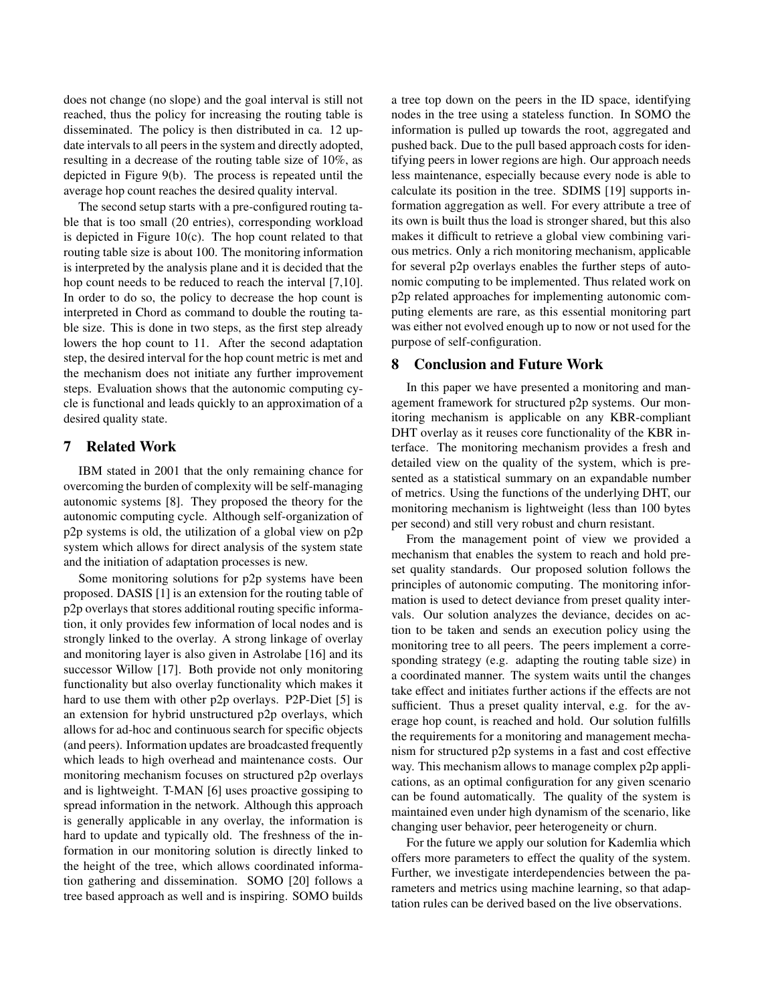does not change (no slope) and the goal interval is still not reached, thus the policy for increasing the routing table is disseminated. The policy is then distributed in ca. 12 update intervals to all peers in the system and directly adopted, resulting in a decrease of the routing table size of 10%, as depicted in Figure 9(b). The process is repeated until the average hop count reaches the desired quality interval.

The second setup starts with a pre-configured routing table that is too small (20 entries), corresponding workload is depicted in Figure  $10(c)$ . The hop count related to that routing table size is about 100. The monitoring information is interpreted by the analysis plane and it is decided that the hop count needs to be reduced to reach the interval [7,10]. In order to do so, the policy to decrease the hop count is interpreted in Chord as command to double the routing table size. This is done in two steps, as the first step already lowers the hop count to 11. After the second adaptation step, the desired interval for the hop count metric is met and the mechanism does not initiate any further improvement steps. Evaluation shows that the autonomic computing cycle is functional and leads quickly to an approximation of a desired quality state.

# **7 Related Work**

IBM stated in 2001 that the only remaining chance for overcoming the burden of complexity will be self-managing autonomic systems [8]. They proposed the theory for the autonomic computing cycle. Although self-organization of p2p systems is old, the utilization of a global view on p2p system which allows for direct analysis of the system state and the initiation of adaptation processes is new.

Some monitoring solutions for p2p systems have been proposed. DASIS [1] is an extension for the routing table of p2p overlays that stores additional routing specific information, it only provides few information of local nodes and is strongly linked to the overlay. A strong linkage of overlay and monitoring layer is also given in Astrolabe [16] and its successor Willow [17]. Both provide not only monitoring functionality but also overlay functionality which makes it hard to use them with other p2p overlays. P2P-Diet [5] is an extension for hybrid unstructured p2p overlays, which allows for ad-hoc and continuous search for specific objects (and peers). Information updates are broadcasted frequently which leads to high overhead and maintenance costs. Our monitoring mechanism focuses on structured p2p overlays and is lightweight. T-MAN [6] uses proactive gossiping to spread information in the network. Although this approach is generally applicable in any overlay, the information is hard to update and typically old. The freshness of the information in our monitoring solution is directly linked to the height of the tree, which allows coordinated information gathering and dissemination. SOMO [20] follows a tree based approach as well and is inspiring. SOMO builds a tree top down on the peers in the ID space, identifying nodes in the tree using a stateless function. In SOMO the information is pulled up towards the root, aggregated and pushed back. Due to the pull based approach costs for identifying peers in lower regions are high. Our approach needs less maintenance, especially because every node is able to calculate its position in the tree. SDIMS [19] supports information aggregation as well. For every attribute a tree of its own is built thus the load is stronger shared, but this also makes it difficult to retrieve a global view combining various metrics. Only a rich monitoring mechanism, applicable for several p2p overlays enables the further steps of autonomic computing to be implemented. Thus related work on p2p related approaches for implementing autonomic computing elements are rare, as this essential monitoring part was either not evolved enough up to now or not used for the purpose of self-configuration.

# **8 Conclusion and Future Work**

In this paper we have presented a monitoring and management framework for structured p2p systems. Our monitoring mechanism is applicable on any KBR-compliant DHT overlay as it reuses core functionality of the KBR interface. The monitoring mechanism provides a fresh and detailed view on the quality of the system, which is presented as a statistical summary on an expandable number of metrics. Using the functions of the underlying DHT, our monitoring mechanism is lightweight (less than 100 bytes per second) and still very robust and churn resistant.

From the management point of view we provided a mechanism that enables the system to reach and hold preset quality standards. Our proposed solution follows the principles of autonomic computing. The monitoring information is used to detect deviance from preset quality intervals. Our solution analyzes the deviance, decides on action to be taken and sends an execution policy using the monitoring tree to all peers. The peers implement a corresponding strategy (e.g. adapting the routing table size) in a coordinated manner. The system waits until the changes take effect and initiates further actions if the effects are not sufficient. Thus a preset quality interval, e.g. for the average hop count, is reached and hold. Our solution fulfills the requirements for a monitoring and management mechanism for structured p2p systems in a fast and cost effective way. This mechanism allows to manage complex p2p applications, as an optimal configuration for any given scenario can be found automatically. The quality of the system is maintained even under high dynamism of the scenario, like changing user behavior, peer heterogeneity or churn.

For the future we apply our solution for Kademlia which offers more parameters to effect the quality of the system. Further, we investigate interdependencies between the parameters and metrics using machine learning, so that adaptation rules can be derived based on the live observations.